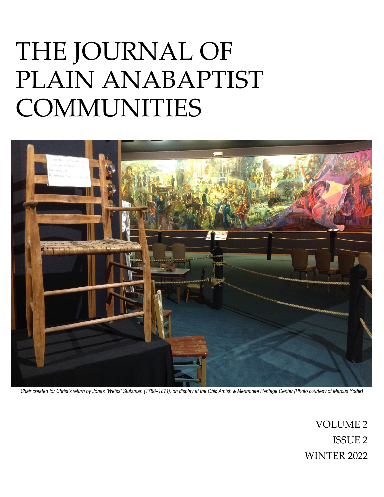# THE JOURNAL OF PLAIN ANABAPTIST COMMUNITIES



*Chair created for Christ's return by Jonas "Weiss" Stutzman (1788–1871), on display at the Ohio Amish & Mennonite Heritage Center (Photo courtesy of Marcus Yoder)* 

VOLUME 2 ISSUE 2 WINTER 2022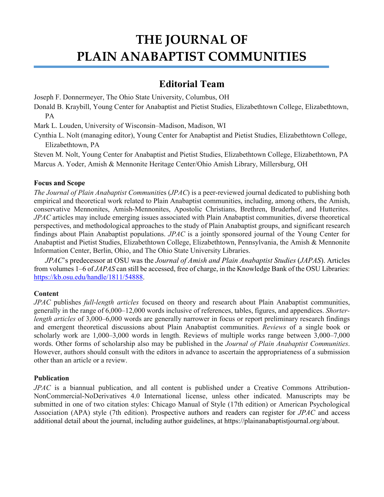# **THE JOURNAL OF PLAIN ANABAPTIST COMMUNITIES**

### **Editorial Team**

Joseph F. Donnermeyer, The Ohio State University, Columbus, OH

Donald B. Kraybill, Young Center for Anabaptist and Pietist Studies, Elizabethtown College, Elizabethtown, PA

Mark L. Louden, University of Wisconsin–Madison, Madison, WI

Cynthia L. Nolt (managing editor), Young Center for Anabaptist and Pietist Studies, Elizabethtown College, Elizabethtown, PA

Steven M. Nolt, Young Center for Anabaptist and Pietist Studies, Elizabethtown College, Elizabethtown, PA Marcus A. Yoder, Amish & Mennonite Heritage Center/Ohio Amish Library, Millersburg, OH

### **Focus and Scope**

*The Journal of Plain Anabaptist Communiti*es (*JPAC*) is a peer-reviewed journal dedicated to publishing both empirical and theoretical work related to Plain Anabaptist communities, including, among others, the Amish, conservative Mennonites, Amish-Mennonites, Apostolic Christians, Brethren, Bruderhof, and Hutterites. *JPAC* articles may include emerging issues associated with Plain Anabaptist communities, diverse theoretical perspectives, and methodological approaches to the study of Plain Anabaptist groups, and significant research findings about Plain Anabaptist populations. *JPAC* is a jointly sponsored journal of the Young Center for Anabaptist and Pietist Studies, Elizabethtown College, Elizabethtown, Pennsylvania, the Amish & Mennonite Information Center, Berlin, Ohio, and The Ohio State University Libraries.

*JPAC*'s predecessor at OSU was the *Journal of Amish and Plain Anabaptist Studies* (*JAPAS*). Articles from volumes 1–6 of *JAPAS* can still be accessed, free of charge, in the Knowledge Bank of the OSU Libraries: [https://kb.osu.edu/handle/1811/54888.](https://kb.osu.edu/handle/1811/54888)

### **Content**

*JPAC* publishes *full-length articles* focused on theory and research about Plain Anabaptist communities, generally in the range of 6,000–12,000 words inclusive of references, tables, figures, and appendices. *Shorterlength articles* of 3,000–6,000 words are generally narrower in focus or report preliminary research findings and emergent theoretical discussions about Plain Anabaptist communities. *Reviews* of a single book or scholarly work are 1,000–3,000 words in length. Reviews of multiple works range between 3,000–7,000 words. Other forms of scholarship also may be published in the *Journal of Plain Anabaptist Communities*. However, authors should consult with the editors in advance to ascertain the appropriateness of a submission other than an article or a review.

### **Publication**

*JPAC* is a biannual publication, and all content is published under a Creative Commons Attribution-NonCommercial-NoDerivatives 4.0 International license, unless other indicated. Manuscripts may be submitted in one of two citation styles: Chicago Manual of Style (17th edition) or American Psychological Association (APA) style (7th edition). Prospective authors and readers can register for *JPAC* and access additional detail about the journal, including author guidelines, at [https://plainanabaptistjournal.org/about.](https://plainanabaptistjournal.org/about)